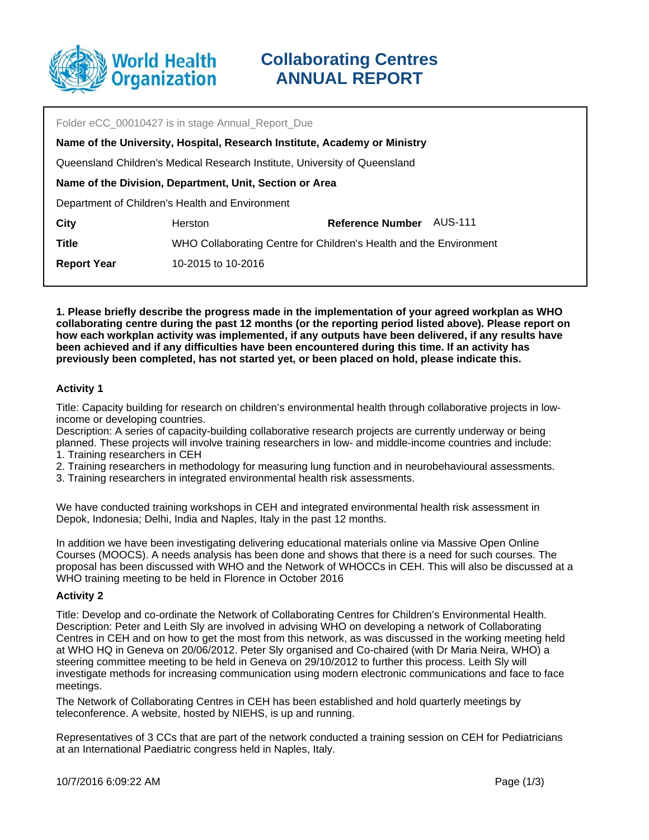

| Folder eCC 00010427 is in stage Annual Report Due                          |                                                                    |                         |         |
|----------------------------------------------------------------------------|--------------------------------------------------------------------|-------------------------|---------|
| Name of the University, Hospital, Research Institute, Academy or Ministry  |                                                                    |                         |         |
| Queensland Children's Medical Research Institute, University of Queensland |                                                                    |                         |         |
| Name of the Division, Department, Unit, Section or Area                    |                                                                    |                         |         |
| Department of Children's Health and Environment                            |                                                                    |                         |         |
| City                                                                       | <b>Herston</b>                                                     | <b>Reference Number</b> | AUS-111 |
| <b>Title</b>                                                               | WHO Collaborating Centre for Children's Health and the Environment |                         |         |
| <b>Report Year</b>                                                         | 10-2015 to 10-2016                                                 |                         |         |
|                                                                            |                                                                    |                         |         |

**1. Please briefly describe the progress made in the implementation of your agreed workplan as WHO collaborating centre during the past 12 months (or the reporting period listed above). Please report on how each workplan activity was implemented, if any outputs have been delivered, if any results have been achieved and if any difficulties have been encountered during this time. If an activity has previously been completed, has not started yet, or been placed on hold, please indicate this.**

## **Activity 1**

Title: Capacity building for research on children's environmental health through collaborative projects in lowincome or developing countries.

Description: A series of capacity-building collaborative research projects are currently underway or being planned. These projects will involve training researchers in low- and middle-income countries and include:

- 1. Training researchers in CEH
- 2. Training researchers in methodology for measuring lung function and in neurobehavioural assessments.
- 3. Training researchers in integrated environmental health risk assessments.

We have conducted training workshops in CEH and integrated environmental health risk assessment in Depok, Indonesia; Delhi, India and Naples, Italy in the past 12 months.

In addition we have been investigating delivering educational materials online via Massive Open Online Courses (MOOCS). A needs analysis has been done and shows that there is a need for such courses. The proposal has been discussed with WHO and the Network of WHOCCs in CEH. This will also be discussed at a WHO training meeting to be held in Florence in October 2016

#### **Activity 2**

Title: Develop and co-ordinate the Network of Collaborating Centres for Children's Environmental Health. Description: Peter and Leith Sly are involved in advising WHO on developing a network of Collaborating Centres in CEH and on how to get the most from this network, as was discussed in the working meeting held at WHO HQ in Geneva on 20/06/2012. Peter Sly organised and Co-chaired (with Dr Maria Neira, WHO) a steering committee meeting to be held in Geneva on 29/10/2012 to further this process. Leith Sly will investigate methods for increasing communication using modern electronic communications and face to face meetings.

The Network of Collaborating Centres in CEH has been established and hold quarterly meetings by teleconference. A website, hosted by NIEHS, is up and running.

Representatives of 3 CCs that are part of the network conducted a training session on CEH for Pediatricians at an International Paediatric congress held in Naples, Italy.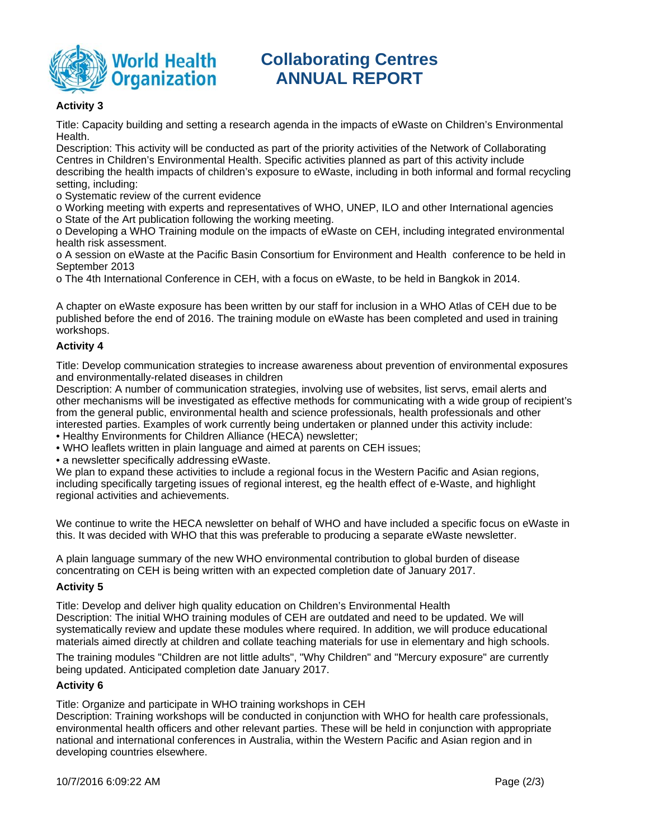

# **Collaborating Centres ANNUAL REPORT**

## **Activity 3**

Title: Capacity building and setting a research agenda in the impacts of eWaste on Children's Environmental Health.

Description: This activity will be conducted as part of the priority activities of the Network of Collaborating Centres in Children's Environmental Health. Specific activities planned as part of this activity include describing the health impacts of children's exposure to eWaste, including in both informal and formal recycling setting, including:

o Systematic review of the current evidence

o Working meeting with experts and representatives of WHO, UNEP, ILO and other International agencies o State of the Art publication following the working meeting.

o Developing a WHO Training module on the impacts of eWaste on CEH, including integrated environmental health risk assessment.

o A session on eWaste at the Pacific Basin Consortium for Environment and Health conference to be held in September 2013

o The 4th International Conference in CEH, with a focus on eWaste, to be held in Bangkok in 2014.

A chapter on eWaste exposure has been written by our staff for inclusion in a WHO Atlas of CEH due to be published before the end of 2016. The training module on eWaste has been completed and used in training workshops.

#### **Activity 4**

Title: Develop communication strategies to increase awareness about prevention of environmental exposures and environmentally-related diseases in children

Description: A number of communication strategies, involving use of websites, list servs, email alerts and other mechanisms will be investigated as effective methods for communicating with a wide group of recipient's from the general public, environmental health and science professionals, health professionals and other interested parties. Examples of work currently being undertaken or planned under this activity include:

• Healthy Environments for Children Alliance (HECA) newsletter;

• WHO leaflets written in plain language and aimed at parents on CEH issues;

• a newsletter specifically addressing eWaste.

We plan to expand these activities to include a regional focus in the Western Pacific and Asian regions, including specifically targeting issues of regional interest, eg the health effect of e-Waste, and highlight regional activities and achievements.

We continue to write the HECA newsletter on behalf of WHO and have included a specific focus on eWaste in this. It was decided with WHO that this was preferable to producing a separate eWaste newsletter.

A plain language summary of the new WHO environmental contribution to global burden of disease concentrating on CEH is being written with an expected completion date of January 2017.

#### **Activity 5**

Title: Develop and deliver high quality education on Children's Environmental Health Description: The initial WHO training modules of CEH are outdated and need to be updated. We will systematically review and update these modules where required. In addition, we will produce educational materials aimed directly at children and collate teaching materials for use in elementary and high schools.

The training modules "Children are not little adults", "Why Children" and "Mercury exposure" are currently being updated. Anticipated completion date January 2017.

#### **Activity 6**

Title: Organize and participate in WHO training workshops in CEH

Description: Training workshops will be conducted in conjunction with WHO for health care professionals, environmental health officers and other relevant parties. These will be held in conjunction with appropriate national and international conferences in Australia, within the Western Pacific and Asian region and in developing countries elsewhere.